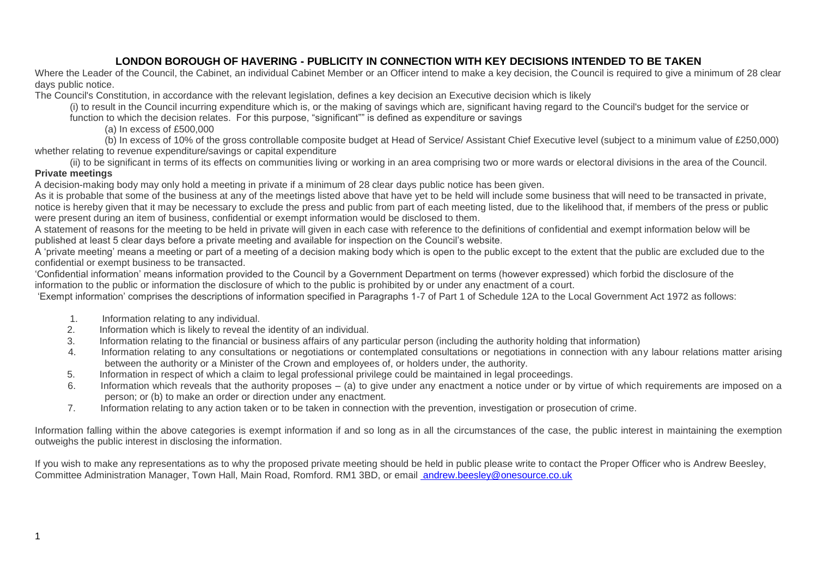Where the Leader of the Council, the Cabinet, an individual Cabinet Member or an Officer intend to make a key decision, the Council is required to give a minimum of 28 clear days public notice.

The Council's Constitution, in accordance with the relevant legislation, defines a key decision an Executive decision which is likely

(i) to result in the Council incurring expenditure which is, or the making of savings which are, significant having regard to the Council's budget for the service or

function to which the decision relates. For this purpose, "significant"" is defined as expenditure or savings

(a) In excess of £500,000

 (b) In excess of 10% of the gross controllable composite budget at Head of Service/ Assistant Chief Executive level (subject to a minimum value of £250,000) whether relating to revenue expenditure/savings or capital expenditure

(ii) to be significant in terms of its effects on communities living or working in an area comprising two or more wards or electoral divisions in the area of the Council. **Private meetings**

A decision-making body may only hold a meeting in private if a minimum of 28 clear days public notice has been given.

As it is probable that some of the business at any of the meetings listed above that have yet to be held will include some business that will need to be transacted in private, notice is hereby given that it may be necessary to exclude the press and public from part of each meeting listed, due to the likelihood that, if members of the press or public were present during an item of business, confidential or exempt information would be disclosed to them.

A statement of reasons for the meeting to be held in private will given in each case with reference to the definitions of confidential and exempt information below will be published at least 5 clear days before a private meeting and available for inspection on the Council's website.

A 'private meeting' means a meeting or part of a meeting of a decision making body which is open to the public except to the extent that the public are excluded due to the confidential or exempt business to be transacted.

'Confidential information' means information provided to the Council by a Government Department on terms (however expressed) which forbid the disclosure of the information to the public or information the disclosure of which to the public is prohibited by or under any enactment of a court.

'Exempt information' comprises the descriptions of information specified in Paragraphs 1-7 of Part 1 of Schedule 12A to the Local Government Act 1972 as follows:

- 1. Information relating to any individual.
- 2. Information which is likely to reveal the identity of an individual.
- 3. Information relating to the financial or business affairs of any particular person (including the authority holding that information)
- 4. Information relating to any consultations or negotiations or contemplated consultations or negotiations in connection with any labour relations matter arising between the authority or a Minister of the Crown and employees of, or holders under, the authority.
- 5. Information in respect of which a claim to legal professional privilege could be maintained in legal proceedings.
- 6. Information which reveals that the authority proposes (a) to give under any enactment a notice under or by virtue of which requirements are imposed on a person; or (b) to make an order or direction under any enactment.
- 7. Information relating to any action taken or to be taken in connection with the prevention, investigation or prosecution of crime.

Information falling within the above categories is exempt information if and so long as in all the circumstances of the case, the public interest in maintaining the exemption outweighs the public interest in disclosing the information.

If you wish to make any representations as to why the proposed private meeting should be held in public please write to contact the Proper Officer who is Andrew Beesley, Committee Administration Manager, Town Hall, Main Road, Romford. RM1 3BD, or email [andrew.beesley@onesource.co.uk](mailto:%20andrew.beesley@onesource.co.uk)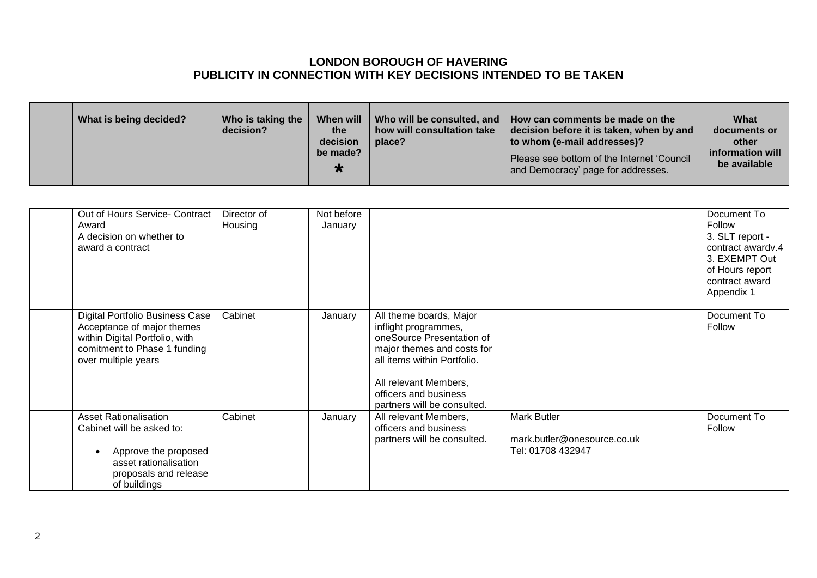|  | What is being decided? | Who is taking the<br>decision? | When will<br>the<br>decision<br>be made?<br>∗ | how will consultation take<br>place? | Who will be consulted, and   How can comments be made on the<br>decision before it is taken, when by and<br>to whom (e-mail addresses)?<br>Please see bottom of the Internet 'Council<br>and Democracy' page for addresses. | What<br>documents or<br>other<br>information will<br>be available |
|--|------------------------|--------------------------------|-----------------------------------------------|--------------------------------------|-----------------------------------------------------------------------------------------------------------------------------------------------------------------------------------------------------------------------------|-------------------------------------------------------------------|
|--|------------------------|--------------------------------|-----------------------------------------------|--------------------------------------|-----------------------------------------------------------------------------------------------------------------------------------------------------------------------------------------------------------------------------|-------------------------------------------------------------------|

| Out of Hours Service- Contract<br>Award<br>A decision on whether to<br>award a contract                                                                | Director of<br>Housing | Not before<br>January |                                                                                                                                                                                                                            |                                                                        | Document To<br>Follow<br>3. SLT report -<br>contract awardy.4<br>3. EXEMPT Out<br>of Hours report<br>contract award<br>Appendix 1 |
|--------------------------------------------------------------------------------------------------------------------------------------------------------|------------------------|-----------------------|----------------------------------------------------------------------------------------------------------------------------------------------------------------------------------------------------------------------------|------------------------------------------------------------------------|-----------------------------------------------------------------------------------------------------------------------------------|
| Digital Portfolio Business Case<br>Acceptance of major themes<br>within Digital Portfolio, with<br>comitment to Phase 1 funding<br>over multiple years | Cabinet                | January               | All theme boards, Major<br>inflight programmes,<br>oneSource Presentation of<br>major themes and costs for<br>all items within Portfolio.<br>All relevant Members,<br>officers and business<br>partners will be consulted. |                                                                        | Document To<br>Follow                                                                                                             |
| <b>Asset Rationalisation</b><br>Cabinet will be asked to:<br>Approve the proposed<br>asset rationalisation<br>proposals and release<br>of buildings    | Cabinet                | January               | All relevant Members,<br>officers and business<br>partners will be consulted.                                                                                                                                              | <b>Mark Butler</b><br>mark.butler@onesource.co.uk<br>Tel: 01708 432947 | Document To<br>Follow                                                                                                             |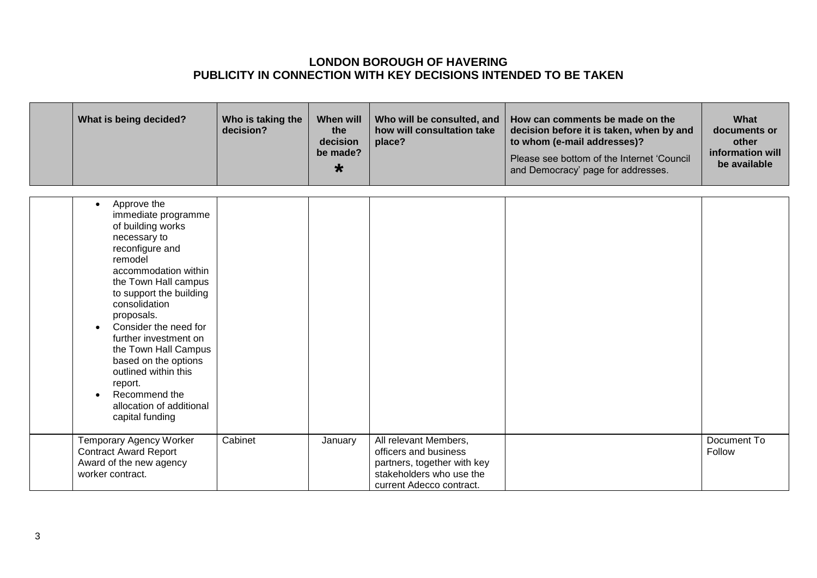| What is being decided?                                                                                                                                                                                                                                                                                                                                                                                                                         | Who is taking the<br>decision? | <b>When will</b><br>the<br>decision<br>be made?<br>$\star$ | Who will be consulted, and<br>how will consultation take<br>place?                                                                    | How can comments be made on the<br>decision before it is taken, when by and<br>to whom (e-mail addresses)?<br>Please see bottom of the Internet 'Council<br>and Democracy' page for addresses. | What<br>documents or<br>other<br>information will<br>be available |
|------------------------------------------------------------------------------------------------------------------------------------------------------------------------------------------------------------------------------------------------------------------------------------------------------------------------------------------------------------------------------------------------------------------------------------------------|--------------------------------|------------------------------------------------------------|---------------------------------------------------------------------------------------------------------------------------------------|------------------------------------------------------------------------------------------------------------------------------------------------------------------------------------------------|-------------------------------------------------------------------|
| Approve the<br>$\bullet$<br>immediate programme<br>of building works<br>necessary to<br>reconfigure and<br>remodel<br>accommodation within<br>the Town Hall campus<br>to support the building<br>consolidation<br>proposals.<br>Consider the need for<br>$\bullet$<br>further investment on<br>the Town Hall Campus<br>based on the options<br>outlined within this<br>report.<br>Recommend the<br>allocation of additional<br>capital funding |                                |                                                            |                                                                                                                                       |                                                                                                                                                                                                |                                                                   |
| Temporary Agency Worker<br><b>Contract Award Report</b><br>Award of the new agency<br>worker contract.                                                                                                                                                                                                                                                                                                                                         | Cabinet                        | January                                                    | All relevant Members,<br>officers and business<br>partners, together with key<br>stakeholders who use the<br>current Adecco contract. |                                                                                                                                                                                                | Document To<br>Follow                                             |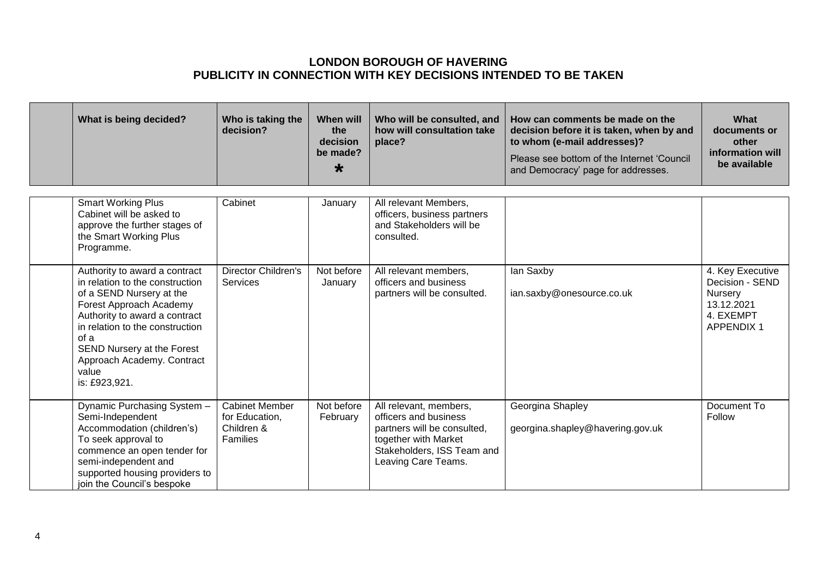| What is being decided?                                                                                                                                                                                                                                                                    | Who is taking the<br>decision?                                    | When will<br>the<br>decision<br>be made?<br>$\star$ | Who will be consulted, and<br>how will consultation take<br>place?                                                                                          | How can comments be made on the<br>decision before it is taken, when by and<br>to whom (e-mail addresses)?<br>Please see bottom of the Internet 'Council<br>and Democracy' page for addresses. | What<br>documents or<br>other<br>information will<br>be available                                    |
|-------------------------------------------------------------------------------------------------------------------------------------------------------------------------------------------------------------------------------------------------------------------------------------------|-------------------------------------------------------------------|-----------------------------------------------------|-------------------------------------------------------------------------------------------------------------------------------------------------------------|------------------------------------------------------------------------------------------------------------------------------------------------------------------------------------------------|------------------------------------------------------------------------------------------------------|
| <b>Smart Working Plus</b><br>Cabinet will be asked to<br>approve the further stages of<br>the Smart Working Plus<br>Programme.                                                                                                                                                            | Cabinet                                                           | January                                             | All relevant Members,<br>officers, business partners<br>and Stakeholders will be<br>consulted.                                                              |                                                                                                                                                                                                |                                                                                                      |
| Authority to award a contract<br>in relation to the construction<br>of a SEND Nursery at the<br>Forest Approach Academy<br>Authority to award a contract<br>in relation to the construction<br>of a<br>SEND Nursery at the Forest<br>Approach Academy. Contract<br>value<br>is: £923,921. | <b>Director Children's</b><br>Services                            | Not before<br>January                               | All relevant members,<br>officers and business<br>partners will be consulted.                                                                               | lan Saxby<br>ian.saxby@onesource.co.uk                                                                                                                                                         | 4. Key Executive<br>Decision - SEND<br><b>Nursery</b><br>13.12.2021<br>4. EXEMPT<br><b>APPENDIX1</b> |
| Dynamic Purchasing System -<br>Semi-Independent<br>Accommodation (children's)<br>To seek approval to<br>commence an open tender for<br>semi-independent and<br>supported housing providers to<br>join the Council's bespoke                                                               | <b>Cabinet Member</b><br>for Education,<br>Children &<br>Families | Not before<br>February                              | All relevant, members,<br>officers and business<br>partners will be consulted,<br>together with Market<br>Stakeholders, ISS Team and<br>Leaving Care Teams. | Georgina Shapley<br>georgina.shapley@havering.gov.uk                                                                                                                                           | Document To<br>Follow                                                                                |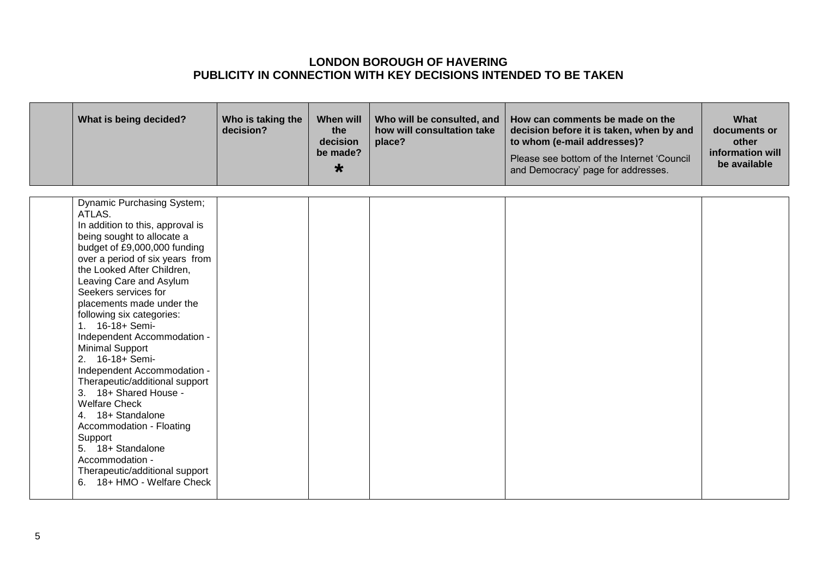| What is being decided?                                                                                                                                                                                                                                                                                                                                                                                                                                                                                                                                                                                                                                                                                    | Who is taking the<br>decision? | When will<br>the<br>decision<br>be made?<br>$\star$ | Who will be consulted, and<br>how will consultation take<br>place? | How can comments be made on the<br>decision before it is taken, when by and<br>to whom (e-mail addresses)?<br>Please see bottom of the Internet 'Council<br>and Democracy' page for addresses. | <b>What</b><br>documents or<br>other<br>information will<br>be available |
|-----------------------------------------------------------------------------------------------------------------------------------------------------------------------------------------------------------------------------------------------------------------------------------------------------------------------------------------------------------------------------------------------------------------------------------------------------------------------------------------------------------------------------------------------------------------------------------------------------------------------------------------------------------------------------------------------------------|--------------------------------|-----------------------------------------------------|--------------------------------------------------------------------|------------------------------------------------------------------------------------------------------------------------------------------------------------------------------------------------|--------------------------------------------------------------------------|
| Dynamic Purchasing System;<br>ATLAS.<br>In addition to this, approval is<br>being sought to allocate a<br>budget of £9,000,000 funding<br>over a period of six years from<br>the Looked After Children,<br>Leaving Care and Asylum<br>Seekers services for<br>placements made under the<br>following six categories:<br>1. 16-18+ Semi-<br>Independent Accommodation -<br><b>Minimal Support</b><br>2. 16-18+ Semi-<br>Independent Accommodation -<br>Therapeutic/additional support<br>3. 18+ Shared House -<br><b>Welfare Check</b><br>4. 18+ Standalone<br>Accommodation - Floating<br>Support<br>5. 18+ Standalone<br>Accommodation -<br>Therapeutic/additional support<br>6. 18+ HMO - Welfare Check |                                |                                                     |                                                                    |                                                                                                                                                                                                |                                                                          |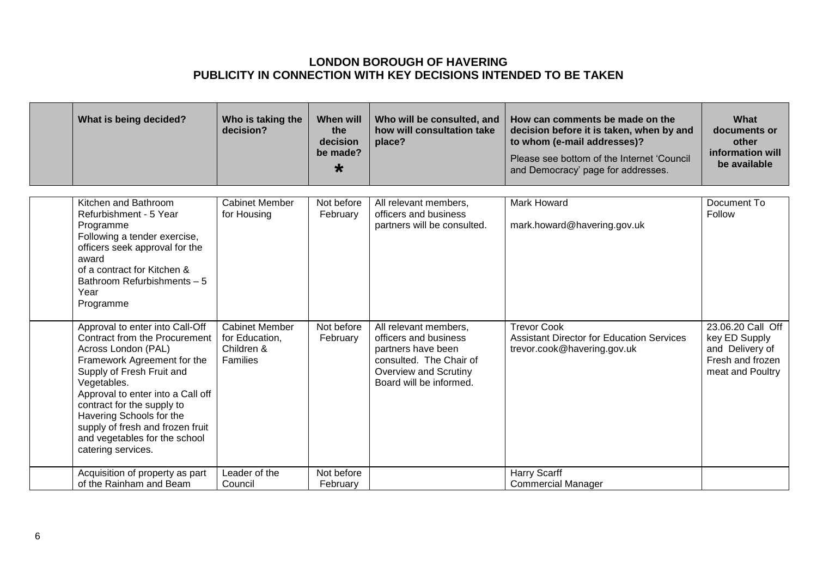| What is being decided?                                                                                                                                                                                                                                                                                                                                              | Who is taking the<br>decision?                                    | <b>When will</b><br>the<br>decision<br>be made?<br>$\star$ | Who will be consulted, and<br>how will consultation take<br>place?                                                                                  | How can comments be made on the<br>decision before it is taken, when by and<br>to whom (e-mail addresses)?<br>Please see bottom of the Internet 'Council<br>and Democracy' page for addresses. | What<br>documents or<br>other<br>information will<br>be available                             |
|---------------------------------------------------------------------------------------------------------------------------------------------------------------------------------------------------------------------------------------------------------------------------------------------------------------------------------------------------------------------|-------------------------------------------------------------------|------------------------------------------------------------|-----------------------------------------------------------------------------------------------------------------------------------------------------|------------------------------------------------------------------------------------------------------------------------------------------------------------------------------------------------|-----------------------------------------------------------------------------------------------|
| Kitchen and Bathroom<br>Refurbishment - 5 Year<br>Programme<br>Following a tender exercise,<br>officers seek approval for the<br>award<br>of a contract for Kitchen &<br>Bathroom Refurbishments - 5<br>Year<br>Programme                                                                                                                                           | <b>Cabinet Member</b><br>for Housing                              | Not before<br>February                                     | All relevant members,<br>officers and business<br>partners will be consulted.                                                                       | Mark Howard<br>mark.howard@havering.gov.uk                                                                                                                                                     | Document To<br>Follow                                                                         |
| Approval to enter into Call-Off<br><b>Contract from the Procurement</b><br>Across London (PAL)<br>Framework Agreement for the<br>Supply of Fresh Fruit and<br>Vegetables.<br>Approval to enter into a Call off<br>contract for the supply to<br>Havering Schools for the<br>supply of fresh and frozen fruit<br>and vegetables for the school<br>catering services. | <b>Cabinet Member</b><br>for Education,<br>Children &<br>Families | Not before<br>February                                     | All relevant members,<br>officers and business<br>partners have been<br>consulted. The Chair of<br>Overview and Scrutiny<br>Board will be informed. | <b>Trevor Cook</b><br><b>Assistant Director for Education Services</b><br>trevor.cook@havering.gov.uk                                                                                          | 23.06.20 Call Off<br>key ED Supply<br>and Delivery of<br>Fresh and frozen<br>meat and Poultry |
| Acquisition of property as part<br>of the Rainham and Beam                                                                                                                                                                                                                                                                                                          | Leader of the<br>Council                                          | Not before<br>February                                     |                                                                                                                                                     | <b>Harry Scarff</b><br><b>Commercial Manager</b>                                                                                                                                               |                                                                                               |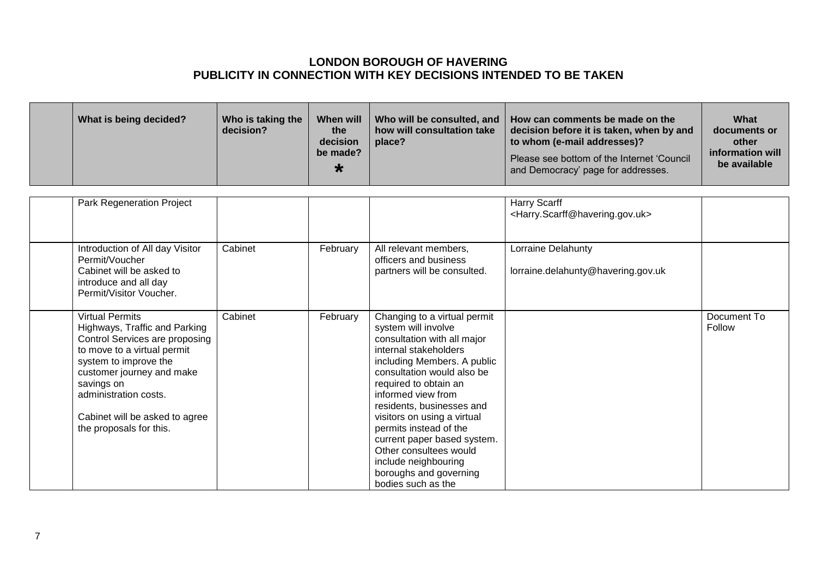|  | What is being decided? | Who is taking the<br>decision? | When will<br>the<br>decision<br>be made?<br>∗ | how will consultation take<br>place? | Who will be consulted, and   How can comments be made on the<br>decision before it is taken, when by and<br>to whom (e-mail addresses)?<br>Please see bottom of the Internet 'Council<br>and Democracy' page for addresses. | What<br>documents or<br>other<br>information will<br>be available |
|--|------------------------|--------------------------------|-----------------------------------------------|--------------------------------------|-----------------------------------------------------------------------------------------------------------------------------------------------------------------------------------------------------------------------------|-------------------------------------------------------------------|
|--|------------------------|--------------------------------|-----------------------------------------------|--------------------------------------|-----------------------------------------------------------------------------------------------------------------------------------------------------------------------------------------------------------------------------|-------------------------------------------------------------------|

|                                      | Park Regeneration Project                                                                                                                                                                                                                  |         |          |                                                                                                                                                                                                                                                                                                                                                                                                                                                | Harry Scarff<br><harry.scarff@havering.gov.uk></harry.scarff@havering.gov.uk> |                       |
|--------------------------------------|--------------------------------------------------------------------------------------------------------------------------------------------------------------------------------------------------------------------------------------------|---------|----------|------------------------------------------------------------------------------------------------------------------------------------------------------------------------------------------------------------------------------------------------------------------------------------------------------------------------------------------------------------------------------------------------------------------------------------------------|-------------------------------------------------------------------------------|-----------------------|
| Permit/Voucher                       | Introduction of All day Visitor<br>Cabinet will be asked to<br>introduce and all day<br>Permit/Visitor Voucher.                                                                                                                            | Cabinet | February | All relevant members,<br>officers and business<br>partners will be consulted.                                                                                                                                                                                                                                                                                                                                                                  | Lorraine Delahunty<br>lorraine.delahunty@havering.gov.uk                      |                       |
| <b>Virtual Permits</b><br>savings on | Highways, Traffic and Parking<br>Control Services are proposing<br>to move to a virtual permit<br>system to improve the<br>customer journey and make<br>administration costs.<br>Cabinet will be asked to agree<br>the proposals for this. | Cabinet | February | Changing to a virtual permit<br>system will involve<br>consultation with all major<br>internal stakeholders<br>including Members. A public<br>consultation would also be<br>required to obtain an<br>informed view from<br>residents, businesses and<br>visitors on using a virtual<br>permits instead of the<br>current paper based system.<br>Other consultees would<br>include neighbouring<br>boroughs and governing<br>bodies such as the |                                                                               | Document To<br>Follow |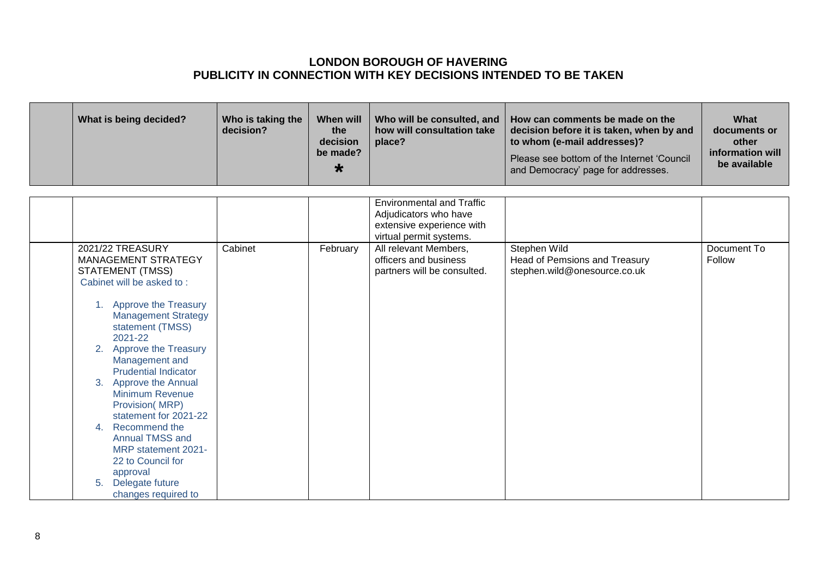| What is being decided?                                                                                                                                                                                                                                                                                                                                                                                                                                                                                           | Who is taking the<br>decision? | When will<br>the<br>decision<br>be made?<br>$\star$ | Who will be consulted, and<br>how will consultation take<br>place?            | How can comments be made on the<br>decision before it is taken, when by and<br>to whom (e-mail addresses)?<br>Please see bottom of the Internet 'Council<br>and Democracy' page for addresses. | What<br>documents or<br>other<br>information will<br>be available |
|------------------------------------------------------------------------------------------------------------------------------------------------------------------------------------------------------------------------------------------------------------------------------------------------------------------------------------------------------------------------------------------------------------------------------------------------------------------------------------------------------------------|--------------------------------|-----------------------------------------------------|-------------------------------------------------------------------------------|------------------------------------------------------------------------------------------------------------------------------------------------------------------------------------------------|-------------------------------------------------------------------|
|                                                                                                                                                                                                                                                                                                                                                                                                                                                                                                                  |                                |                                                     | <b>Environmental and Traffic</b>                                              |                                                                                                                                                                                                |                                                                   |
|                                                                                                                                                                                                                                                                                                                                                                                                                                                                                                                  |                                |                                                     | Adjudicators who have                                                         |                                                                                                                                                                                                |                                                                   |
|                                                                                                                                                                                                                                                                                                                                                                                                                                                                                                                  |                                |                                                     | extensive experience with<br>virtual permit systems.                          |                                                                                                                                                                                                |                                                                   |
| 2021/22 TREASURY<br>MANAGEMENT STRATEGY<br><b>STATEMENT (TMSS)</b><br>Cabinet will be asked to:<br>Approve the Treasury<br>1.<br><b>Management Strategy</b><br>statement (TMSS)<br>2021-22<br>Approve the Treasury<br>2.<br>Management and<br><b>Prudential Indicator</b><br>Approve the Annual<br>3.<br><b>Minimum Revenue</b><br><b>Provision(MRP)</b><br>statement for 2021-22<br>4. Recommend the<br><b>Annual TMSS and</b><br>MRP statement 2021-<br>22 to Council for<br>approval<br>Delegate future<br>5. | Cabinet                        | February                                            | All relevant Members,<br>officers and business<br>partners will be consulted. | Stephen Wild<br>Head of Pemsions and Treasury<br>stephen.wild@onesource.co.uk                                                                                                                  | Document To<br>Follow                                             |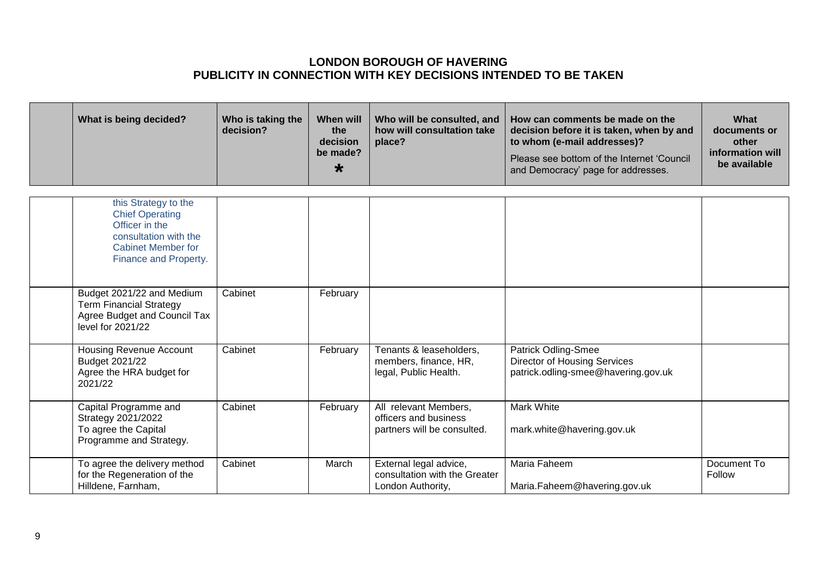| What is being decided?                                                                                                                          | Who is taking the<br>decision? | <b>When will</b><br>the<br>decision<br>be made?<br>$\star$ | Who will be consulted, and<br>how will consultation take<br>place?            | How can comments be made on the<br>decision before it is taken, when by and<br>to whom (e-mail addresses)?<br>Please see bottom of the Internet 'Council<br>and Democracy' page for addresses. | What<br>documents or<br>other<br>information will<br>be available |
|-------------------------------------------------------------------------------------------------------------------------------------------------|--------------------------------|------------------------------------------------------------|-------------------------------------------------------------------------------|------------------------------------------------------------------------------------------------------------------------------------------------------------------------------------------------|-------------------------------------------------------------------|
| this Strategy to the<br><b>Chief Operating</b><br>Officer in the<br>consultation with the<br><b>Cabinet Member for</b><br>Finance and Property. |                                |                                                            |                                                                               |                                                                                                                                                                                                |                                                                   |
| Budget 2021/22 and Medium<br><b>Term Financial Strategy</b><br>Agree Budget and Council Tax<br>level for 2021/22                                | Cabinet                        | February                                                   |                                                                               |                                                                                                                                                                                                |                                                                   |
| Housing Revenue Account<br>Budget 2021/22<br>Agree the HRA budget for<br>2021/22                                                                | Cabinet                        | February                                                   | Tenants & leaseholders,<br>members, finance, HR,<br>legal, Public Health.     | <b>Patrick Odling-Smee</b><br><b>Director of Housing Services</b><br>patrick.odling-smee@havering.gov.uk                                                                                       |                                                                   |
| Capital Programme and<br>Strategy 2021/2022<br>To agree the Capital<br>Programme and Strategy.                                                  | Cabinet                        | February                                                   | All relevant Members,<br>officers and business<br>partners will be consulted. | <b>Mark White</b><br>mark.white@havering.gov.uk                                                                                                                                                |                                                                   |
| To agree the delivery method<br>for the Regeneration of the<br>Hilldene, Farnham,                                                               | Cabinet                        | March                                                      | External legal advice,<br>consultation with the Greater<br>London Authority,  | Maria Faheem<br>Maria.Faheem@havering.gov.uk                                                                                                                                                   | Document To<br>Follow                                             |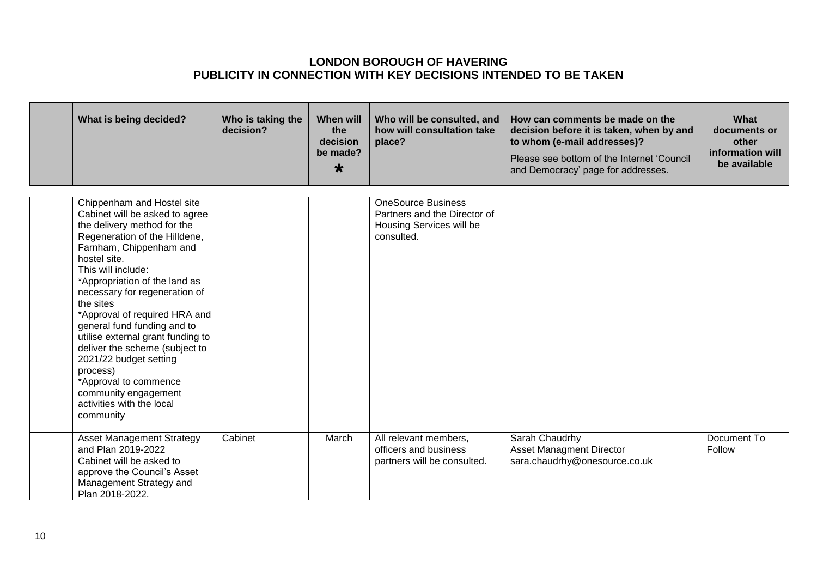| What is being decided?                                                                                                                                                                                                                                                                                                                                                                                                                                                                                                                               | Who is taking the<br>decision? | <b>When will</b><br>the<br>decision<br>be made?<br>$\star$ | Who will be consulted, and<br>how will consultation take<br>place?                                  | How can comments be made on the<br>decision before it is taken, when by and<br>to whom (e-mail addresses)?<br>Please see bottom of the Internet 'Council<br>and Democracy' page for addresses. | What<br>documents or<br>other<br>information will<br>be available |
|------------------------------------------------------------------------------------------------------------------------------------------------------------------------------------------------------------------------------------------------------------------------------------------------------------------------------------------------------------------------------------------------------------------------------------------------------------------------------------------------------------------------------------------------------|--------------------------------|------------------------------------------------------------|-----------------------------------------------------------------------------------------------------|------------------------------------------------------------------------------------------------------------------------------------------------------------------------------------------------|-------------------------------------------------------------------|
| Chippenham and Hostel site<br>Cabinet will be asked to agree<br>the delivery method for the<br>Regeneration of the Hilldene,<br>Farnham, Chippenham and<br>hostel site.<br>This will include:<br>*Appropriation of the land as<br>necessary for regeneration of<br>the sites<br>*Approval of required HRA and<br>general fund funding and to<br>utilise external grant funding to<br>deliver the scheme (subject to<br>2021/22 budget setting<br>process)<br>*Approval to commence<br>community engagement<br>activities with the local<br>community |                                |                                                            | <b>OneSource Business</b><br>Partners and the Director of<br>Housing Services will be<br>consulted. |                                                                                                                                                                                                |                                                                   |
| <b>Asset Management Strategy</b><br>and Plan 2019-2022<br>Cabinet will be asked to<br>approve the Council's Asset<br>Management Strategy and<br>Plan 2018-2022.                                                                                                                                                                                                                                                                                                                                                                                      | Cabinet                        | March                                                      | All relevant members,<br>officers and business<br>partners will be consulted.                       | Sarah Chaudrhy<br><b>Asset Managment Director</b><br>sara.chaudrhy@onesource.co.uk                                                                                                             | Document To<br>Follow                                             |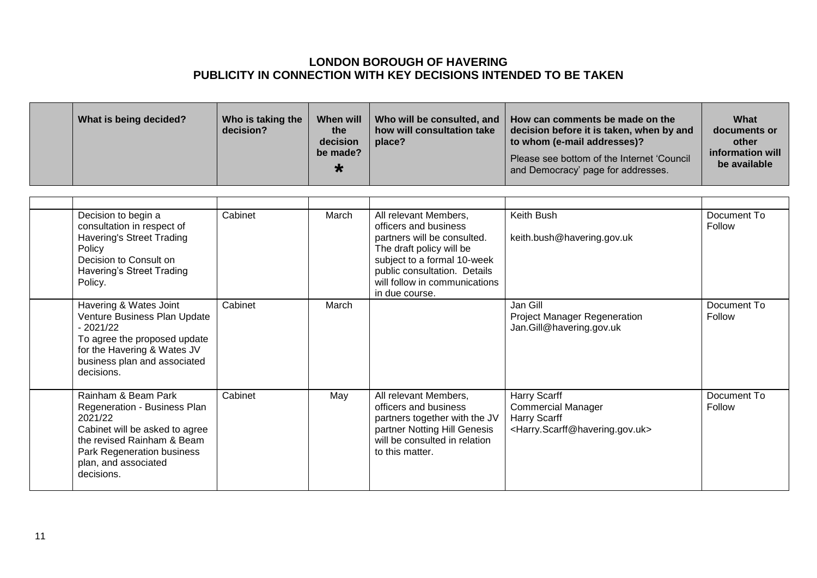|  | What is being decided? | Who is taking the<br>decision? | When will<br>the<br>decision<br>be made?<br>₩ | how will consultation take<br>place? | Who will be consulted, and   How can comments be made on the<br>decision before it is taken, when by and<br>to whom (e-mail addresses)?<br>Please see bottom of the Internet 'Council<br>and Democracy' page for addresses. | What<br>documents or<br>other<br>information will<br>be available |
|--|------------------------|--------------------------------|-----------------------------------------------|--------------------------------------|-----------------------------------------------------------------------------------------------------------------------------------------------------------------------------------------------------------------------------|-------------------------------------------------------------------|
|--|------------------------|--------------------------------|-----------------------------------------------|--------------------------------------|-----------------------------------------------------------------------------------------------------------------------------------------------------------------------------------------------------------------------------|-------------------------------------------------------------------|

| Decision to begin a<br>consultation in respect of<br><b>Havering's Street Trading</b><br>Policy<br>Decision to Consult on<br>Havering's Street Trading<br>Policy.                                  | Cabinet | March | All relevant Members,<br>officers and business<br>partners will be consulted.<br>The draft policy will be<br>subject to a formal 10-week<br>public consultation. Details<br>will follow in communications<br>in due course. | Keith Bush<br>keith.bush@havering.gov.uk                                                                                   | Document To<br>Follow |
|----------------------------------------------------------------------------------------------------------------------------------------------------------------------------------------------------|---------|-------|-----------------------------------------------------------------------------------------------------------------------------------------------------------------------------------------------------------------------------|----------------------------------------------------------------------------------------------------------------------------|-----------------------|
| Havering & Wates Joint<br>Venture Business Plan Update<br>$-2021/22$<br>To agree the proposed update<br>for the Havering & Wates JV<br>business plan and associated<br>decisions.                  | Cabinet | March |                                                                                                                                                                                                                             | Jan Gill<br><b>Project Manager Regeneration</b><br>Jan.Gill@havering.gov.uk                                                | Document To<br>Follow |
| Rainham & Beam Park<br>Regeneration - Business Plan<br>2021/22<br>Cabinet will be asked to agree<br>the revised Rainham & Beam<br>Park Regeneration business<br>plan, and associated<br>decisions. | Cabinet | May   | All relevant Members,<br>officers and business<br>partners together with the JV<br>partner Notting Hill Genesis<br>will be consulted in relation<br>to this matter.                                                         | Harry Scarff<br><b>Commercial Manager</b><br>Harry Scarff<br><harry.scarff@havering.gov.uk></harry.scarff@havering.gov.uk> | Document To<br>Follow |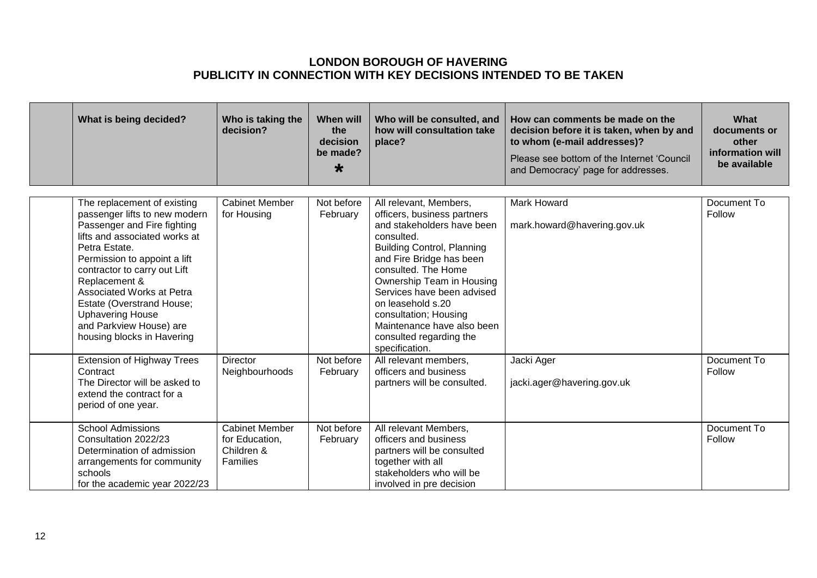| What is being decided?                                                                                                                                                                                                                                                                                                                                                       | Who is taking the<br>decision?                                    | <b>When will</b><br>the<br>decision<br>be made?<br>$\star$ | Who will be consulted, and<br>how will consultation take<br>place?                                                                                                                                                                                                                                                                                                            | How can comments be made on the<br>decision before it is taken, when by and<br>to whom (e-mail addresses)?<br>Please see bottom of the Internet 'Council<br>and Democracy' page for addresses. | What<br>documents or<br>other<br>information will<br>be available |
|------------------------------------------------------------------------------------------------------------------------------------------------------------------------------------------------------------------------------------------------------------------------------------------------------------------------------------------------------------------------------|-------------------------------------------------------------------|------------------------------------------------------------|-------------------------------------------------------------------------------------------------------------------------------------------------------------------------------------------------------------------------------------------------------------------------------------------------------------------------------------------------------------------------------|------------------------------------------------------------------------------------------------------------------------------------------------------------------------------------------------|-------------------------------------------------------------------|
| The replacement of existing<br>passenger lifts to new modern<br>Passenger and Fire fighting<br>lifts and associated works at<br>Petra Estate.<br>Permission to appoint a lift<br>contractor to carry out Lift<br>Replacement &<br>Associated Works at Petra<br>Estate (Overstrand House;<br><b>Uphavering House</b><br>and Parkview House) are<br>housing blocks in Havering | <b>Cabinet Member</b><br>for Housing                              | Not before<br>February                                     | All relevant, Members,<br>officers, business partners<br>and stakeholders have been<br>consulted.<br><b>Building Control, Planning</b><br>and Fire Bridge has been<br>consulted. The Home<br>Ownership Team in Housing<br>Services have been advised<br>on leasehold s.20<br>consultation; Housing<br>Maintenance have also been<br>consulted regarding the<br>specification. | <b>Mark Howard</b><br>mark.howard@havering.gov.uk                                                                                                                                              | Document To<br>Follow                                             |
| <b>Extension of Highway Trees</b><br>Contract<br>The Director will be asked to<br>extend the contract for a<br>period of one year.                                                                                                                                                                                                                                           | <b>Director</b><br>Neighbourhoods                                 | Not before<br>February                                     | All relevant members,<br>officers and business<br>partners will be consulted.                                                                                                                                                                                                                                                                                                 | Jacki Ager<br>jacki.ager@havering.gov.uk                                                                                                                                                       | Document To<br>Follow                                             |
| <b>School Admissions</b><br>Consultation 2022/23<br>Determination of admission<br>arrangements for community<br>schools<br>for the academic year 2022/23                                                                                                                                                                                                                     | <b>Cabinet Member</b><br>for Education,<br>Children &<br>Families | Not before<br>February                                     | All relevant Members,<br>officers and business<br>partners will be consulted<br>together with all<br>stakeholders who will be<br>involved in pre decision                                                                                                                                                                                                                     |                                                                                                                                                                                                | Document To<br>Follow                                             |